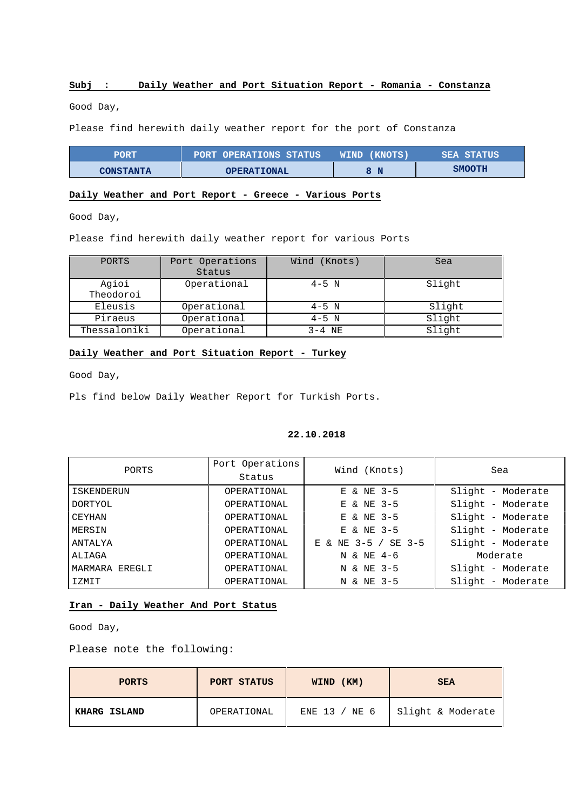# **Subj : Daily Weather and Port Situation Report - Romania - Constanza**

Good Day,

Please find herewith daily weather report for the port of Constanza

| PORT             | PORT OPERATIONS STATUS | WIND (KNOTS) | <b>SEA STATUS</b> |
|------------------|------------------------|--------------|-------------------|
| <b>CONSTANTA</b> | <b>OPERATIONAL</b>     | N            | <b>SMOOTH</b>     |

# **Daily Weather and Port Report - Greece - Various Ports**

Good Day,

Please find herewith daily weather report for various Ports

| PORTS              | Port Operations<br>Status | Wind (Knots) | Sea    |
|--------------------|---------------------------|--------------|--------|
| Agioi<br>Theodoroi | Operational               | $4-5$ N      | Slight |
| Eleusis            | Operational               | $4-5$ N      | Slight |
| Piraeus            | Operational               | $4-5$ N      | Slight |
| Thessaloniki       | Operational               | $3-4$ NE     | Slight |

# **Daily Weather and Port Situation Report - Turkey**

Good Day,

Pls find below Daily Weather Report for Turkish Ports.

#### **22.10.2018**

| PORTS          | Port Operations | Wind (Knots)           | Sea               |  |  |
|----------------|-----------------|------------------------|-------------------|--|--|
|                | Status          |                        |                   |  |  |
| ISKENDERUN     | OPERATIONAL     | E & NE 3-5             | Slight - Moderate |  |  |
| DORTYOL        | OPERATIONAL     | E & NE 3-5             | Slight - Moderate |  |  |
| CEYHAN         | OPERATIONAL     | E & NE 3-5             | Slight - Moderate |  |  |
| MERSIN         | OPERATIONAL     | E & NE 3-5             | Slight - Moderate |  |  |
| ANTALYA        | OPERATIONAL     | & NE 3-5 / SE 3-5<br>Е | Slight - Moderate |  |  |
| ALIAGA         | OPERATIONAL     | N & NE 4-6             | Moderate          |  |  |
| MARMARA EREGLI | OPERATIONAL     | N & NE 3-5             | Slight - Moderate |  |  |
| IZMIT          | OPERATIONAL     | N & NE 3-5             | Slight - Moderate |  |  |

# **Iran - Daily Weather And Port Status**

Good Day,

Please note the following:

| <b>PORTS</b> | PORT STATUS | WIND (KM)     | <b>SEA</b>        |  |  |
|--------------|-------------|---------------|-------------------|--|--|
| KHARG ISLAND | OPERATIONAL | ENE 13 / NE 6 | Slight & Moderate |  |  |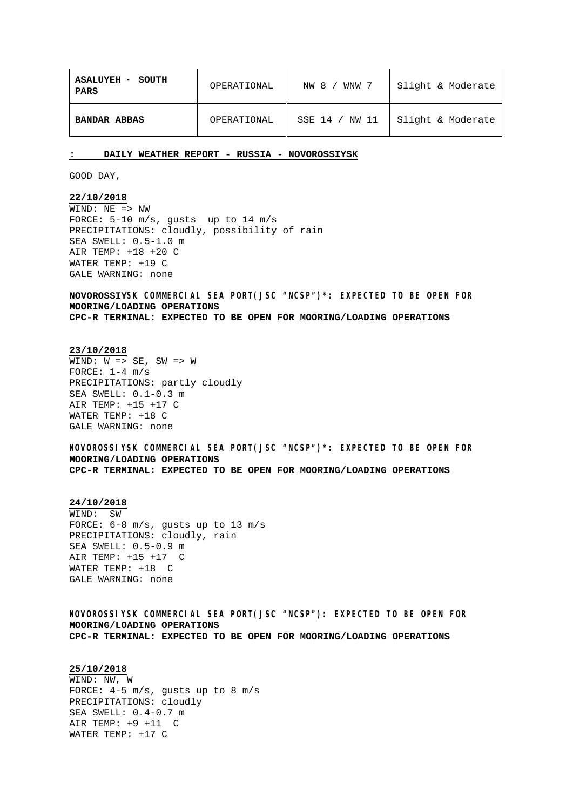| <b>ASALUYEH - SOUTH</b><br>PARS | OPERATIONAL | WNW 7<br>NW 8 / | Slight & Moderate |  |
|---------------------------------|-------------|-----------------|-------------------|--|
| <b>BANDAR ABBAS</b>             | OPERATIONAL | SSE 14 / NW 11  | Slight & Moderate |  |

**: DAILY WEATHER REPORT - RUSSIA - NOVOROSSIYSK**

GOOD DAY,

# **22/10/2018**

 $\overline{\text{WIND}: \ \text{NE}}$  => NW FORCE: 5-10 m/s, gusts up to 14 m/s PRECIPITATIONS: cloudly, possibility of rain SEA SWELL: 0.5-1.0 m AIR TEMP: +18 +20 C WATER TEMP: +19 C GALE WARNING: none

**NOVOROSSIYSK COMMERCIAL SEA PORT(JSC "NCSP")\*: EXPECTED TO BE OPEN FOR MOORING/LOADING OPERATIONS CPC-R TERMINAL: EXPECTED TO BE OPEN FOR MOORING/LOADING OPERATIONS**

#### **23/10/2018**

 $\overline{\text{WIND}: \text{W}} \equiv > \text{SE}$ , SW => W FORCE:  $1-4$  m/s PRECIPITATIONS: partly cloudly SEA SWELL: 0.1-0.3 m AIR TEMP: +15 +17 C WATER TEMP: +18 C GALE WARNING: none

**NOVOROSSIYSK COMMERCIAL SEA PORT(JSC "NCSP")\*: EXPECTED TO BE OPEN FOR MOORING/LOADING OPERATIONS CPC-R TERMINAL: EXPECTED TO BE OPEN FOR MOORING/LOADING OPERATIONS**

### **24/10/2018**

WIND: SW FORCE: 6-8 m/s, gusts up to 13 m/s PRECIPITATIONS: cloudly, rain SEA SWELL: 0.5-0.9 m AIR TEMP: +15 +17 C WATER TEMP: +18 C GALE WARNING: none

**NOVOROSSIYSK COMMERCIAL SEA PORT(JSC "NCSP"): EXPECTED TO BE OPEN FOR MOORING/LOADING OPERATIONS CPC-R TERMINAL: EXPECTED TO BE OPEN FOR MOORING/LOADING OPERATIONS**

#### **25/10/2018**

WIND: NW, W FORCE: 4-5 m/s, gusts up to 8 m/s PRECIPITATIONS: cloudly SEA SWELL: 0.4-0.7 m AIR TEMP: +9 +11 C WATER TEMP: +17 C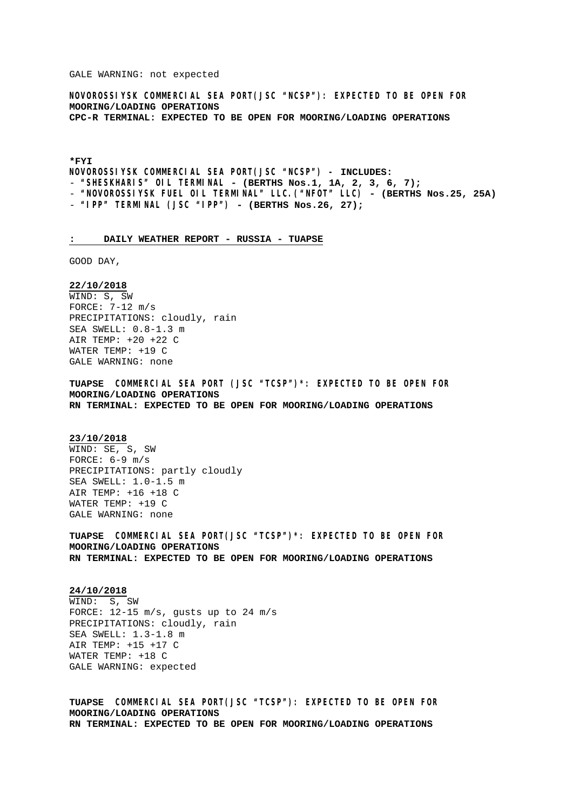GALE WARNING: not expected

**NOVOROSSIYSK COMMERCIAL SEA PORT(JSC "NCSP"): EXPECTED TO BE OPEN FOR MOORING/LOADING OPERATIONS CPC-R TERMINAL: EXPECTED TO BE OPEN FOR MOORING/LOADING OPERATIONS**

**\*FYI**

**NOVOROSSIYSK COMMERCIAL SEA PORT(JSC "NCSP") – INCLUDES:**

- **"SHESKHARIS" OIL TERMINAL - (BERTHS Nos.1, 1A, 2, 3, 6, 7);**
- **"NOVOROSSIYSK FUEL OIL TERMINAL" LLC.("NFOT" LLC) - (BERTHS Nos.25, 25A)**
- **"IPP" TERMINAL (JSC "IPP") - (BERTHS Nos.26, 27);**

#### **: DAILY WEATHER REPORT - RUSSIA - TUAPSE**

GOOD DAY,

**22/10/2018** WIND: S, SW FORCE: 7-12 m/s PRECIPITATIONS: cloudly, rain SEA SWELL: 0.8-1.3 m AIR TEMP: +20 +22 C WATER TEMP: +19 C GALE WARNING: none

**TUAPSE COMMERCIAL SEA PORT (JSC "TCSP")\*: EXPECTED TO BE OPEN FOR MOORING/LOADING OPERATIONS RN TERMINAL: EXPECTED TO BE OPEN FOR MOORING/LOADING OPERATIONS**

#### **23/10/2018**

WIND: SE, S, SW FORCE:  $6-9$  m/s PRECIPITATIONS: partly cloudly SEA SWELL: 1.0-1.5 m AIR TEMP: +16 +18 C WATER TEMP: +19 C GALE WARNING: none

**TUAPSE COMMERCIAL SEA PORT(JSC "TCSP")\*: EXPECTED TO BE OPEN FOR MOORING/LOADING OPERATIONS RN TERMINAL: EXPECTED TO BE OPEN FOR MOORING/LOADING OPERATIONS**

**24/10/2018** WIND: S, SW FORCE: 12-15 m/s, gusts up to 24 m/s PRECIPITATIONS: cloudly, rain SEA SWELL: 1.3-1.8 m AIR TEMP: +15 +17 C WATER TEMP: +18 C GALE WARNING: expected

**TUAPSE COMMERCIAL SEA PORT(JSC "TCSP"): EXPECTED TO BE OPEN FOR MOORING/LOADING OPERATIONS RN TERMINAL: EXPECTED TO BE OPEN FOR MOORING/LOADING OPERATIONS**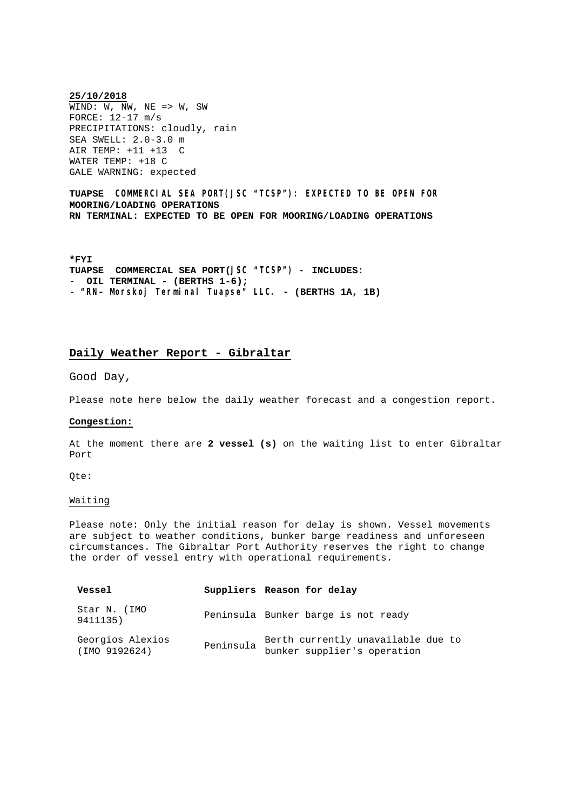**25/10/2018**  $\overline{\text{WIND}: \text{W}, \text{NW}, \text{NE}}$  => W, SW FORCE: 12-17 m/s PRECIPITATIONS: cloudly, rain SEA SWELL: 2.0-3.0 m AIR TEMP: +11 +13 C WATER TEMP: +18 C GALE WARNING: expected

**TUAPSE COMMERCIAL SEA PORT(JSC "TCSP"): EXPECTED TO BE OPEN FOR MOORING/LOADING OPERATIONS RN TERMINAL: EXPECTED TO BE OPEN FOR MOORING/LOADING OPERATIONS**

**\*FYI TUAPSE COMMERCIAL SEA PORT(JSC "TCSP") – INCLUDES:** - **OIL TERMINAL - (BERTHS 1-6);** - **"RN- Morskoj Terminal Tuapse" LLC. - (BERTHS 1A, 1B)**

# **Daily Weather Report - Gibraltar**

Good Day,

Please note here below the daily weather forecast and a congestion report.

#### **Congestion:**

At the moment there are **2 vessel (s)** on the waiting list to enter Gibraltar Port

Qte:

#### Waiting

Please note: Only the initial reason for delay is shown. Vessel movements are subject to weather conditions, bunker barge readiness and unforeseen circumstances. The Gibraltar Port Authority reserves the right to change the order of vessel entry with operational requirements.

| Vessel                            |           | Suppliers Reason for delay                                        |
|-----------------------------------|-----------|-------------------------------------------------------------------|
| Star N. (IMO<br>9411135)          |           | Peninsula Bunker barge is not ready                               |
| Georgios Alexios<br>(IMO 9192624) | Peninsula | Berth currently unavailable due to<br>bunker supplier's operation |